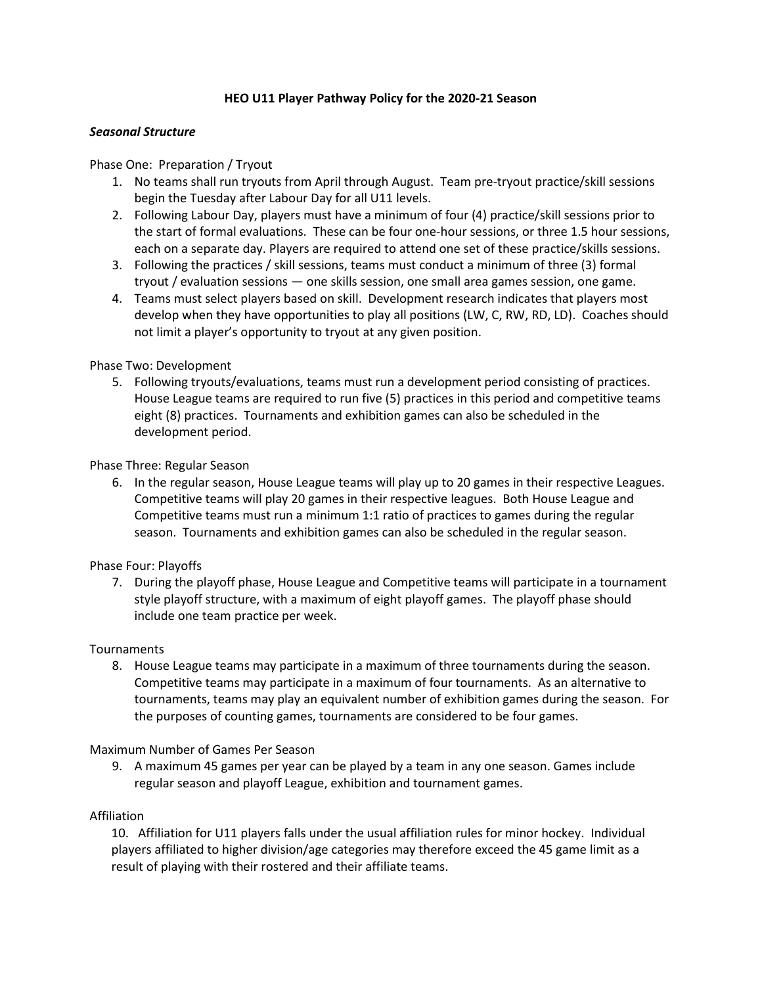# **HEO U11 Player Pathway Policy for the 2020-21 Season**

# *Seasonal Structure*

# Phase One: Preparation / Tryout

- 1. No teams shall run tryouts from April through August. Team pre-tryout practice/skill sessions begin the Tuesday after Labour Day for all U11 levels.
- 2. Following Labour Day, players must have a minimum of four (4) practice/skill sessions prior to the start of formal evaluations. These can be four one-hour sessions, or three 1.5 hour sessions, each on a separate day. Players are required to attend one set of these practice/skills sessions.
- 3. Following the practices / skill sessions, teams must conduct a minimum of three (3) formal tryout / evaluation sessions — one skills session, one small area games session, one game.
- 4. Teams must select players based on skill. Development research indicates that players most develop when they have opportunities to play all positions (LW, C, RW, RD, LD). Coaches should not limit a player's opportunity to tryout at any given position.

# Phase Two: Development

5. Following tryouts/evaluations, teams must run a development period consisting of practices. House League teams are required to run five (5) practices in this period and competitive teams eight (8) practices. Tournaments and exhibition games can also be scheduled in the development period.

# Phase Three: Regular Season

6. In the regular season, House League teams will play up to 20 games in their respective Leagues. Competitive teams will play 20 games in their respective leagues. Both House League and Competitive teams must run a minimum 1:1 ratio of practices to games during the regular season. Tournaments and exhibition games can also be scheduled in the regular season.

#### Phase Four: Playoffs

7. During the playoff phase, House League and Competitive teams will participate in a tournament style playoff structure, with a maximum of eight playoff games. The playoff phase should include one team practice per week.

#### Tournaments

8. House League teams may participate in a maximum of three tournaments during the season. Competitive teams may participate in a maximum of four tournaments. As an alternative to tournaments, teams may play an equivalent number of exhibition games during the season. For the purposes of counting games, tournaments are considered to be four games.

Maximum Number of Games Per Season

9. A maximum 45 games per year can be played by a team in any one season. Games include regular season and playoff League, exhibition and tournament games.

#### Affiliation

10. Affiliation for U11 players falls under the usual affiliation rules for minor hockey. Individual players affiliated to higher division/age categories may therefore exceed the 45 game limit as a result of playing with their rostered and their affiliate teams.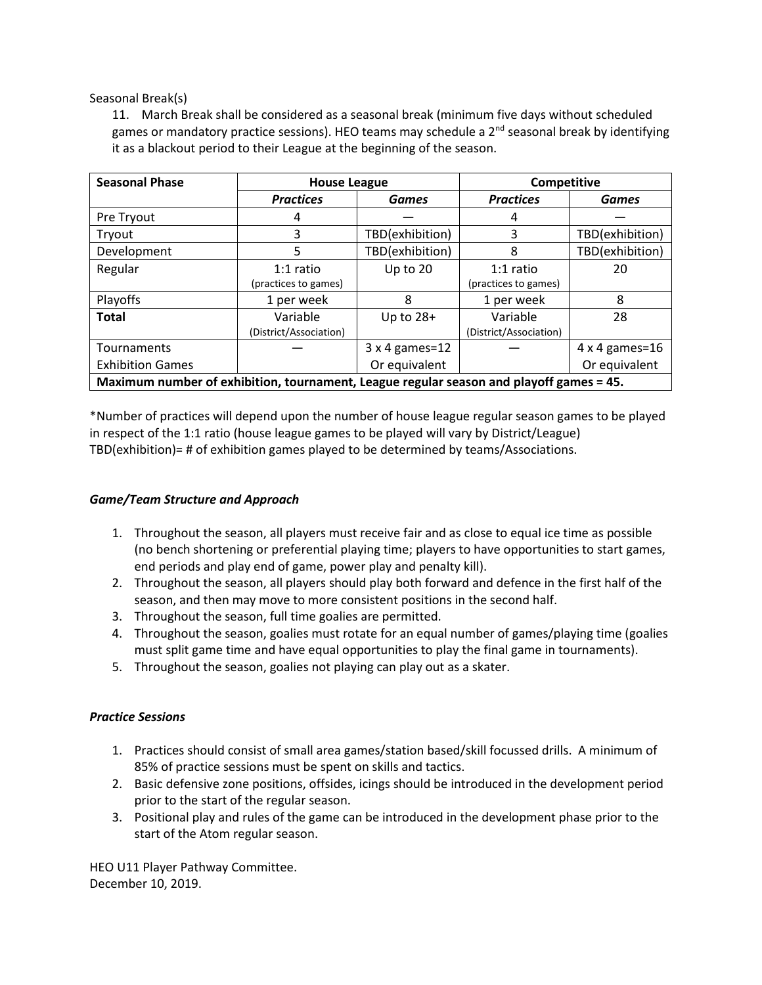Seasonal Break(s)

11. March Break shall be considered as a seasonal break (minimum five days without scheduled games or mandatory practice sessions). HEO teams may schedule a  $2<sup>nd</sup>$  seasonal break by identifying it as a blackout period to their League at the beginning of the season.

| <b>Seasonal Phase</b>                                                                   | <b>House League</b>    |                 | Competitive            |                       |
|-----------------------------------------------------------------------------------------|------------------------|-----------------|------------------------|-----------------------|
|                                                                                         | <b>Practices</b>       | <b>Games</b>    | <b>Practices</b>       | <b>Games</b>          |
| Pre Tryout                                                                              | 4                      |                 | 4                      |                       |
| Tryout                                                                                  | 3                      | TBD(exhibition) | 3                      | TBD(exhibition)       |
| Development                                                                             | 5                      | TBD(exhibition) | 8                      | TBD(exhibition)       |
| Regular                                                                                 | $1:1$ ratio            | Up to 20        | $1:1$ ratio            | 20                    |
|                                                                                         | (practices to games)   |                 | (practices to games)   |                       |
| Playoffs                                                                                | 1 per week             | 8               | 1 per week             | 8                     |
| <b>Total</b>                                                                            | Variable               | Up to $28+$     | Variable               | 28                    |
|                                                                                         | (District/Association) |                 | (District/Association) |                       |
| Tournaments                                                                             |                        | 3 x 4 games=12  |                        | $4 \times 4$ games=16 |
| <b>Exhibition Games</b>                                                                 |                        | Or equivalent   |                        | Or equivalent         |
| Maximum number of exhibition, tournament, League regular season and playoff games = 45. |                        |                 |                        |                       |

\*Number of practices will depend upon the number of house league regular season games to be played in respect of the 1:1 ratio (house league games to be played will vary by District/League) TBD(exhibition)= # of exhibition games played to be determined by teams/Associations.

# *Game/Team Structure and Approach*

- 1. Throughout the season, all players must receive fair and as close to equal ice time as possible (no bench shortening or preferential playing time; players to have opportunities to start games, end periods and play end of game, power play and penalty kill).
- 2. Throughout the season, all players should play both forward and defence in the first half of the season, and then may move to more consistent positions in the second half.
- 3. Throughout the season, full time goalies are permitted.
- 4. Throughout the season, goalies must rotate for an equal number of games/playing time (goalies must split game time and have equal opportunities to play the final game in tournaments).
- 5. Throughout the season, goalies not playing can play out as a skater.

# *Practice Sessions*

- 1. Practices should consist of small area games/station based/skill focussed drills. A minimum of 85% of practice sessions must be spent on skills and tactics.
- 2. Basic defensive zone positions, offsides, icings should be introduced in the development period prior to the start of the regular season.
- 3. Positional play and rules of the game can be introduced in the development phase prior to the start of the Atom regular season.

HEO U11 Player Pathway Committee. December 10, 2019.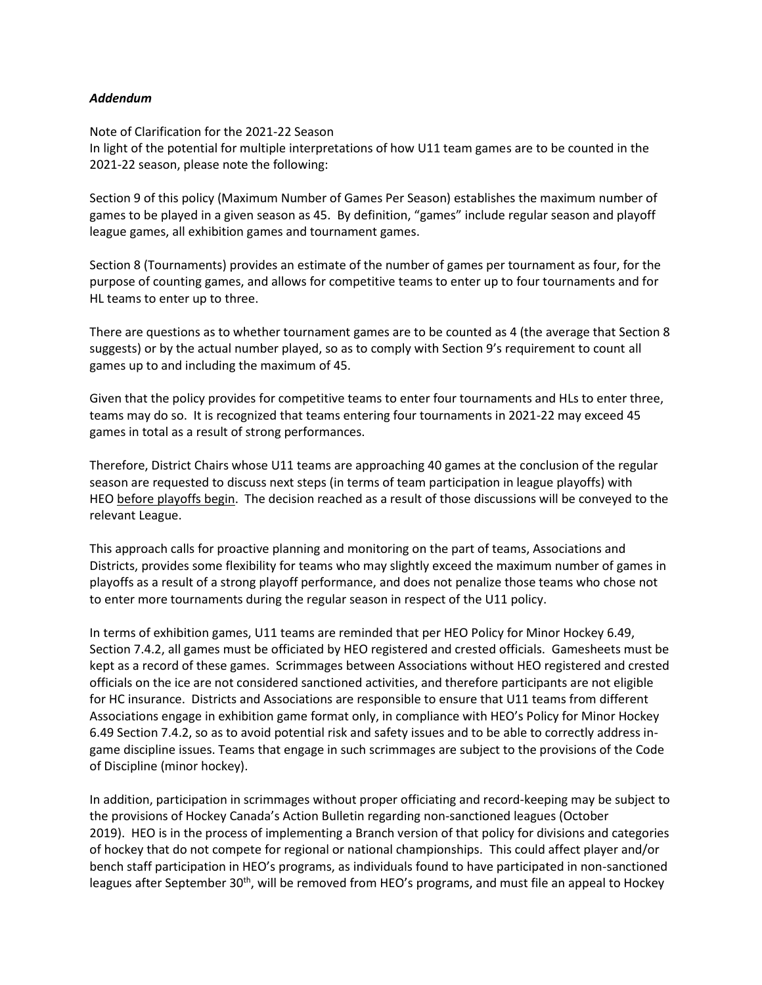# *Addendum*

Note of Clarification for the 2021-22 Season In light of the potential for multiple interpretations of how U11 team games are to be counted in the 2021-22 season, please note the following:

Section 9 of this policy (Maximum Number of Games Per Season) establishes the maximum number of games to be played in a given season as 45. By definition, "games" include regular season and playoff league games, all exhibition games and tournament games.

Section 8 (Tournaments) provides an estimate of the number of games per tournament as four, for the purpose of counting games, and allows for competitive teams to enter up to four tournaments and for HL teams to enter up to three.

There are questions as to whether tournament games are to be counted as 4 (the average that Section 8 suggests) or by the actual number played, so as to comply with Section 9's requirement to count all games up to and including the maximum of 45.

Given that the policy provides for competitive teams to enter four tournaments and HLs to enter three, teams may do so. It is recognized that teams entering four tournaments in 2021-22 may exceed 45 games in total as a result of strong performances.

Therefore, District Chairs whose U11 teams are approaching 40 games at the conclusion of the regular season are requested to discuss next steps (in terms of team participation in league playoffs) with HEO before playoffs begin. The decision reached as a result of those discussions will be conveyed to the relevant League.

This approach calls for proactive planning and monitoring on the part of teams, Associations and Districts, provides some flexibility for teams who may slightly exceed the maximum number of games in playoffs as a result of a strong playoff performance, and does not penalize those teams who chose not to enter more tournaments during the regular season in respect of the U11 policy.

In terms of exhibition games, U11 teams are reminded that per HEO Policy for Minor Hockey 6.49, Section 7.4.2, all games must be officiated by HEO registered and crested officials. Gamesheets must be kept as a record of these games. Scrimmages between Associations without HEO registered and crested officials on the ice are not considered sanctioned activities, and therefore participants are not eligible for HC insurance. Districts and Associations are responsible to ensure that U11 teams from different Associations engage in exhibition game format only, in compliance with HEO's Policy for Minor Hockey 6.49 Section 7.4.2, so as to avoid potential risk and safety issues and to be able to correctly address ingame discipline issues. Teams that engage in such scrimmages are subject to the provisions of the Code of Discipline (minor hockey).

In addition, participation in scrimmages without proper officiating and record-keeping may be subject to the provisions of Hockey Canada's Action Bulletin regarding non-sanctioned leagues (October 2019). HEO is in the process of implementing a Branch version of that policy for divisions and categories of hockey that do not compete for regional or national championships. This could affect player and/or bench staff participation in HEO's programs, as individuals found to have participated in non-sanctioned leagues after September 30<sup>th</sup>, will be removed from HEO's programs, and must file an appeal to Hockey